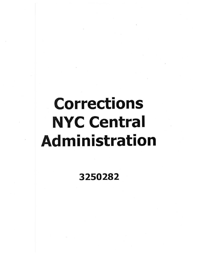## Corrections NYC Central Administration

## 3250282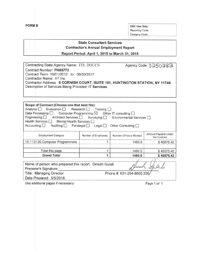**FORM B** OSC Use Only: Reporting Code: Category Code:

## **State Consultant Services Contractor's Annual Employment Report**

**Report Period:** April 1, **2015 to March 31, 2016**

| Contracting State Agency Name: ITS. DOCCS                                    | Agency Code: 3250282 |
|------------------------------------------------------------------------------|----------------------|
| Contract Number: PH65773                                                     |                      |
| Contract Term: 10/01/2012 to 09/30/2017                                      |                      |
| Contractor Name: IIT Inc                                                     |                      |
| Contractor Address: 6 CORNISH COURT, SUITE 101, HUNTINGTON STATION, NY 11746 |                      |
| Description of Services Being Provided: IT Services                          |                      |
|                                                                              |                      |

| Scope of Contract (Choose one that best fits):<br>Analysis Evaluation Research Training T<br>Data Processing<br>Computer Programming $\boxtimes$ Other IT consulting $\Box$<br>Engineering Architect Services Surveying Environmental Services<br>Health Services<br>Mental Health Services<br>Accounting<br>Auditing <b>Paralegal</b><br>Other Consulting $\square$<br>Legal $\Box$ |                     |                        |                                      |  |  |
|--------------------------------------------------------------------------------------------------------------------------------------------------------------------------------------------------------------------------------------------------------------------------------------------------------------------------------------------------------------------------------------|---------------------|------------------------|--------------------------------------|--|--|
| <b>Employment Category</b>                                                                                                                                                                                                                                                                                                                                                           | Number of Employees | Number of Hours Worked | Amount Payable Under<br>the Contract |  |  |
| 15-1131.00 Computer Programmers                                                                                                                                                                                                                                                                                                                                                      |                     | 1460.5                 | \$46575.42                           |  |  |
| Total this page                                                                                                                                                                                                                                                                                                                                                                      |                     | 1460.5                 | \$46575.42                           |  |  |
| <b>Grand Total</b>                                                                                                                                                                                                                                                                                                                                                                   |                     | 1460.5                 | \$46575.42                           |  |  |
| Name of person who prepared this report: Dinesh Gulati<br>Preparer's Signature:<br>Title: Managing Director<br>Phone #: 631-254-8600 205<br>Date Prepared: 5/5/2016                                                                                                                                                                                                                  |                     |                        |                                      |  |  |

Use additional pages if necessary) example 2 and the Page 1 of 1